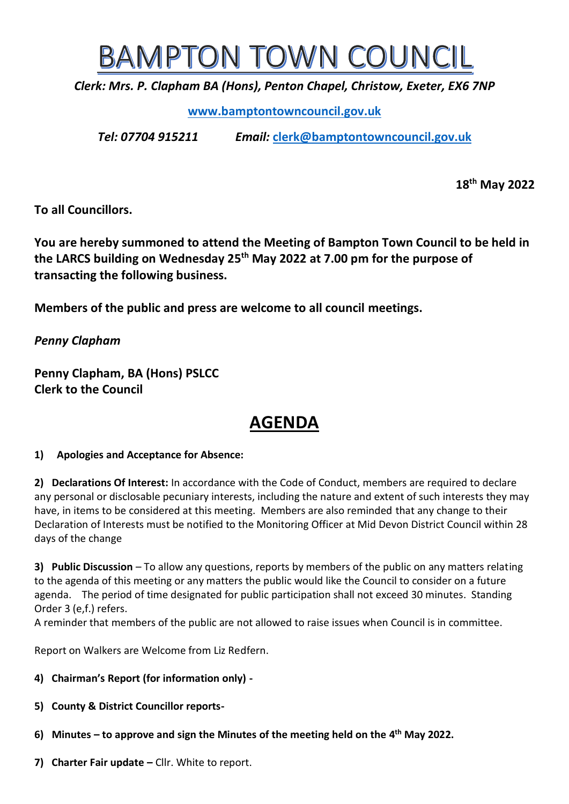

*Clerk: Mrs. P. Clapham BA (Hons), Penton Chapel, Christow, Exeter, EX6 7NP*

**[www.bamptontowncouncil.gov.uk](http://www.bamptontowncouncil.gov.uk/)**

*Tel: 07704 915211 Email:* **[clerk@bamptontowncouncil.gov.uk](mailto:clerk@bamptontowncouncil.gov.uk)**

**18th May 2022**

**To all Councillors.**

**You are hereby summoned to attend the Meeting of Bampton Town Council to be held in the LARCS building on Wednesday 25th May 2022 at 7.00 pm for the purpose of transacting the following business.**

**Members of the public and press are welcome to all council meetings.**

*Penny Clapham*

**Penny Clapham, BA (Hons) PSLCC Clerk to the Council**

# **AGENDA**

## **1) Apologies and Acceptance for Absence:**

**2) Declarations Of Interest:** In accordance with the Code of Conduct, members are required to declare any personal or disclosable pecuniary interests, including the nature and extent of such interests they may have, in items to be considered at this meeting. Members are also reminded that any change to their Declaration of Interests must be notified to the Monitoring Officer at Mid Devon District Council within 28 days of the change

**3) Public Discussion** – To allow any questions, reports by members of the public on any matters relating to the agenda of this meeting or any matters the public would like the Council to consider on a future agenda. The period of time designated for public participation shall not exceed 30 minutes. Standing Order 3 (e,f.) refers.

A reminder that members of the public are not allowed to raise issues when Council is in committee.

Report on Walkers are Welcome from Liz Redfern.

- **4) Chairman's Report (for information only) -**
- **5) County & District Councillor reports-**
- **6) Minutes – to approve and sign the Minutes of the meeting held on the 4 th May 2022.**
- 7) Charter Fair update Cllr. White to report.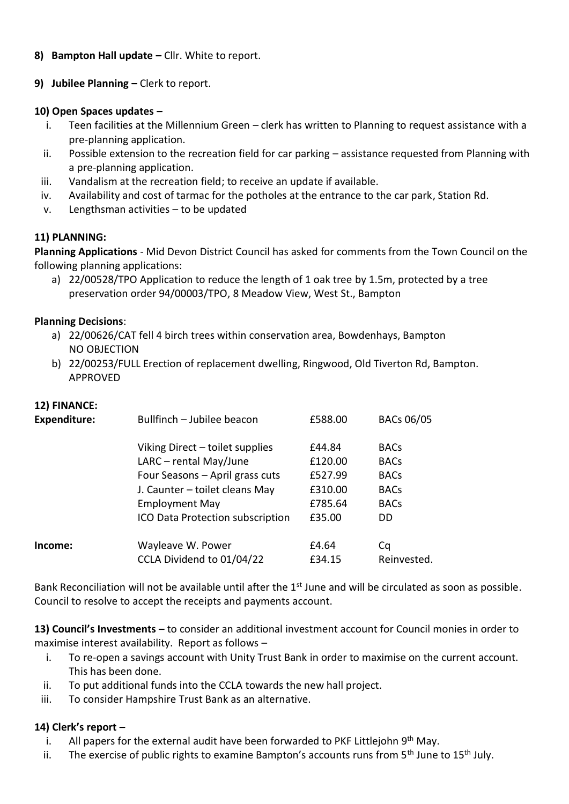- **8) Bampton Hall update –** Cllr. White to report.
- **9) Jubilee Planning –** Clerk to report.

### **10) Open Spaces updates –**

- i. Teen facilities at the Millennium Green clerk has written to Planning to request assistance with a pre-planning application.
- ii. Possible extension to the recreation field for car parking assistance requested from Planning with a pre-planning application.
- iii. Vandalism at the recreation field; to receive an update if available.
- iv. Availability and cost of tarmac for the potholes at the entrance to the car park, Station Rd.
- v. Lengthsman activities to be updated

## **11) PLANNING:**

**Planning Applications** - Mid Devon District Council has asked for comments from the Town Council on the following planning applications:

a) 22/00528/TPO Application to reduce the length of 1 oak tree by 1.5m, protected by a tree preservation order 94/00003/TPO, 8 Meadow View, West St., Bampton

#### **Planning Decisions**:

- a) 22/00626/CAT fell 4 birch trees within conservation area, Bowdenhays, Bampton NO OBJECTION
- b) 22/00253/FULL Erection of replacement dwelling, Ringwood, Old Tiverton Rd, Bampton. APPROVED

## **12) FINANCE:**

| <b>Expenditure:</b> | Bullfinch - Jubilee beacon                     | £588.00         | <b>BACs 06/05</b> |
|---------------------|------------------------------------------------|-----------------|-------------------|
|                     | Viking Direct - toilet supplies                | £44.84          | <b>BACs</b>       |
|                     | $LARC$ – rental May/June                       | £120.00         | <b>BACs</b>       |
|                     | Four Seasons - April grass cuts                | £527.99         | <b>BACs</b>       |
|                     | J. Caunter - toilet cleans May                 | £310.00         | <b>BACs</b>       |
|                     | <b>Employment May</b>                          | £785.64         | <b>BACs</b>       |
|                     | ICO Data Protection subscription               | £35.00          | DD.               |
| Income:             | Wayleave W. Power<br>CCLA Dividend to 01/04/22 | £4.64<br>£34.15 | Cq<br>Reinvested. |
|                     |                                                |                 |                   |

Bank Reconciliation will not be available until after the  $1<sup>st</sup>$  June and will be circulated as soon as possible. Council to resolve to accept the receipts and payments account.

**13) Council's Investments –** to consider an additional investment account for Council monies in order to maximise interest availability. Report as follows –

- i. To re-open a savings account with Unity Trust Bank in order to maximise on the current account. This has been done.
- ii. To put additional funds into the CCLA towards the new hall project.
- iii. To consider Hampshire Trust Bank as an alternative.

## **14) Clerk's report –**

- i. All papers for the external audit have been forwarded to PKF Littlejohn 9<sup>th</sup> May.
- ii. The exercise of public rights to examine Bampton's accounts runs from  $5<sup>th</sup>$  June to  $15<sup>th</sup>$  July.